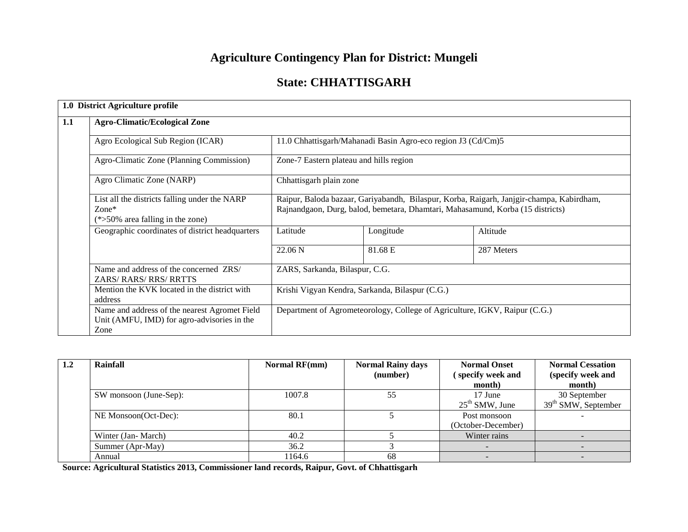# **Agriculture Contingency Plan for District: Mungeli**

# **State: CHHATTISGARH**

|     | 1.0 District Agriculture profile                                                                     |                                                                            |                                                                                                                                                                            |            |  |  |  |  |
|-----|------------------------------------------------------------------------------------------------------|----------------------------------------------------------------------------|----------------------------------------------------------------------------------------------------------------------------------------------------------------------------|------------|--|--|--|--|
| 1.1 | <b>Agro-Climatic/Ecological Zone</b>                                                                 |                                                                            |                                                                                                                                                                            |            |  |  |  |  |
|     | Agro Ecological Sub Region (ICAR)                                                                    |                                                                            | 11.0 Chhattisgarh/Mahanadi Basin Agro-eco region J3 (Cd/Cm)5                                                                                                               |            |  |  |  |  |
|     | Agro-Climatic Zone (Planning Commission)                                                             |                                                                            | Zone-7 Eastern plateau and hills region                                                                                                                                    |            |  |  |  |  |
|     | Agro Climatic Zone (NARP)                                                                            |                                                                            | Chhattisgarh plain zone                                                                                                                                                    |            |  |  |  |  |
|     | List all the districts falling under the NARP<br>$Zone*$<br>$(*>50\%$ area falling in the zone)      |                                                                            | Raipur, Baloda bazaar, Gariyabandh, Bilaspur, Korba, Raigarh, Janjgir-champa, Kabirdham,<br>Rajnandgaon, Durg, balod, bemetara, Dhamtari, Mahasamund, Korba (15 districts) |            |  |  |  |  |
|     | Geographic coordinates of district headquarters                                                      | Latitude                                                                   | Longitude                                                                                                                                                                  | Altitude   |  |  |  |  |
|     |                                                                                                      | 22.06 <sub>N</sub>                                                         | 81.68 E                                                                                                                                                                    | 287 Meters |  |  |  |  |
|     | Name and address of the concerned ZRS/<br>ZARS/RARS/RRS/RRTTS                                        | ZARS, Sarkanda, Bilaspur, C.G.                                             |                                                                                                                                                                            |            |  |  |  |  |
|     | Mention the KVK located in the district with<br>address                                              |                                                                            | Krishi Vigyan Kendra, Sarkanda, Bilaspur (C.G.)                                                                                                                            |            |  |  |  |  |
|     | Name and address of the nearest Agromet Field<br>Unit (AMFU, IMD) for agro-advisories in the<br>Zone | Department of Agrometeorology, College of Agriculture, IGKV, Raipur (C.G.) |                                                                                                                                                                            |            |  |  |  |  |

| $1.2\,$ | Rainfall               | <b>Normal RF(mm)</b> | <b>Normal Rainy days</b><br>(number) | <b>Normal Onset</b><br>specify week and<br>month) | <b>Normal Cessation</b><br>(specify week and<br>month) |
|---------|------------------------|----------------------|--------------------------------------|---------------------------------------------------|--------------------------------------------------------|
|         | SW monsoon (June-Sep): | 1007.8               | 55                                   | 17 June<br>$25th$ SMW, June                       | 30 September<br>$39th$ SMW, September                  |
|         | NE Monsoon(Oct-Dec):   | 80.1                 |                                      | Post monsoon<br>(October-December)                |                                                        |
|         | Winter (Jan-March)     | 40.2                 |                                      | Winter rains                                      |                                                        |
|         | Summer (Apr-May)       | 36.2                 |                                      |                                                   |                                                        |
|         | Annual                 | 1164.6               | 68                                   |                                                   |                                                        |

**Source: Agricultural Statistics 2013, Commissioner land records, Raipur, Govt. of Chhattisgarh**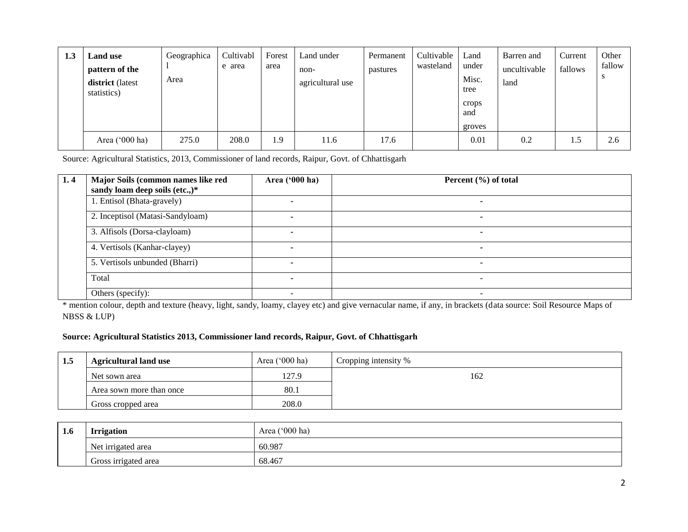| 1.3 | <b>Land use</b><br>pattern of the<br>district (latest<br>statistics) | Geographica<br>Area | Cultivabl<br>e area | Forest<br>area | Land under<br>non-<br>agricultural use | Permanent<br>pastures | Cultivable<br>wasteland | Land<br>under<br>Misc.<br>tree<br>crops<br>and<br>groves | Barren and<br>uncultivable<br>land | Current<br>fallows | Other<br>fallow<br>-3 |
|-----|----------------------------------------------------------------------|---------------------|---------------------|----------------|----------------------------------------|-----------------------|-------------------------|----------------------------------------------------------|------------------------------------|--------------------|-----------------------|
|     | Area ('000 ha)                                                       | 275.0               | 208.0               | <u>1.9</u>     | 11.6                                   | 17.6                  |                         | 0.01                                                     | 0.2                                | 1.5                | 2.6                   |

Source: Agricultural Statistics, 2013, Commissioner of land records, Raipur, Govt. of Chhattisgarh

| 1,4 | Major Soils (common names like red<br>sandy loam deep soils (etc.,)* | Area ('000 ha) | Percent $(\% )$ of total |
|-----|----------------------------------------------------------------------|----------------|--------------------------|
|     | 1. Entisol (Bhata-gravely)                                           |                |                          |
|     | 2. Inceptisol (Matasi-Sandyloam)                                     |                |                          |
|     | 3. Alfisols (Dorsa-clayloam)                                         |                |                          |
|     | 4. Vertisols (Kanhar-clayey)                                         |                |                          |
|     | 5. Vertisols unbunded (Bharri)                                       |                |                          |
|     | Total                                                                | ۰              |                          |
|     | Others (specify):                                                    | ۰              |                          |

\* mention colour, depth and texture (heavy, light, sandy, loamy, clayey etc) and give vernacular name, if any, in brackets (data source: Soil Resource Maps of NBSS & LUP)

#### **Source: Agricultural Statistics 2013, Commissioner land records, Raipur, Govt. of Chhattisgarh**

| 1.5 | <b>Agricultural land use</b> | Area $('000 ha)$ | Cropping intensity % |
|-----|------------------------------|------------------|----------------------|
|     | Net sown area                | 127.9            | 162                  |
|     | Area sown more than once     | 80.1             |                      |
|     | Gross cropped area           | 208.0            |                      |

| 1.6 | <b>Irrigation</b>    | Area ('000 ha) |  |  |  |
|-----|----------------------|----------------|--|--|--|
|     | Net irrigated area   | 60.987         |  |  |  |
|     | Gross irrigated area | 68.467         |  |  |  |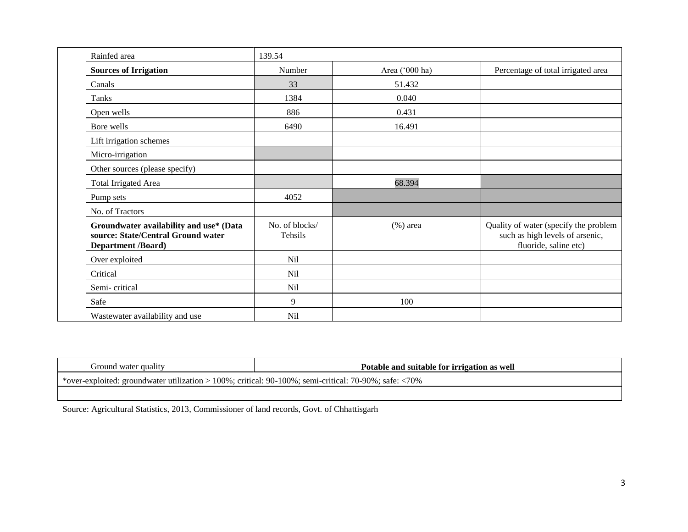| Rainfed area                                                                                               | 139.54                    |                |                                                                                                   |
|------------------------------------------------------------------------------------------------------------|---------------------------|----------------|---------------------------------------------------------------------------------------------------|
| <b>Sources of Irrigation</b>                                                                               | Number                    | Area ('000 ha) | Percentage of total irrigated area                                                                |
| Canals                                                                                                     | 33                        | 51.432         |                                                                                                   |
| Tanks                                                                                                      | 1384                      | 0.040          |                                                                                                   |
| Open wells                                                                                                 | 886                       | 0.431          |                                                                                                   |
| Bore wells                                                                                                 | 6490                      | 16.491         |                                                                                                   |
| Lift irrigation schemes                                                                                    |                           |                |                                                                                                   |
| Micro-irrigation                                                                                           |                           |                |                                                                                                   |
| Other sources (please specify)                                                                             |                           |                |                                                                                                   |
| <b>Total Irrigated Area</b>                                                                                |                           | 68.394         |                                                                                                   |
| Pump sets                                                                                                  | 4052                      |                |                                                                                                   |
| No. of Tractors                                                                                            |                           |                |                                                                                                   |
| Groundwater availability and use* (Data<br>source: State/Central Ground water<br><b>Department /Board)</b> | No. of blocks/<br>Tehsils | $(\%)$ area    | Quality of water (specify the problem<br>such as high levels of arsenic,<br>fluoride, saline etc) |
| Over exploited                                                                                             | <b>Nil</b>                |                |                                                                                                   |
| Critical                                                                                                   | Nil                       |                |                                                                                                   |
| Semi-critical                                                                                              | <b>Nil</b>                |                |                                                                                                   |
| Safe                                                                                                       | 9                         | 100            |                                                                                                   |
| Wastewater availability and use                                                                            | <b>Nil</b>                |                |                                                                                                   |

| Ground water quality                                                                                      | Potable and suitable for irrigation as well |  |  |  |  |  |  |
|-----------------------------------------------------------------------------------------------------------|---------------------------------------------|--|--|--|--|--|--|
| *over-exploited: groundwater utilization > 100%; critical: $90-100\%$ ; semi-critical: 70-90%; safe: <70% |                                             |  |  |  |  |  |  |
|                                                                                                           |                                             |  |  |  |  |  |  |

Source: Agricultural Statistics, 2013, Commissioner of land records, Govt. of Chhattisgarh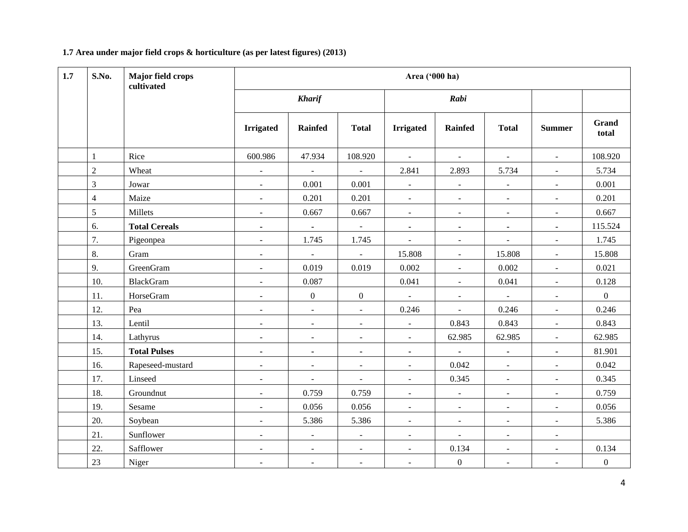#### **1.7 Area under major field crops & horticulture (as per latest figures) (2013)**

| 1.7 | S.No.<br>Major field crops<br>Area ('000 ha)<br>cultivated |                      |                          |                          |                  |                          |                          |                          |                          |                       |
|-----|------------------------------------------------------------|----------------------|--------------------------|--------------------------|------------------|--------------------------|--------------------------|--------------------------|--------------------------|-----------------------|
|     |                                                            |                      |                          | <b>Kharif</b>            |                  |                          | Rabi                     |                          |                          |                       |
|     |                                                            |                      | <b>Irrigated</b>         | <b>Rainfed</b>           | <b>Total</b>     | <b>Irrigated</b>         | <b>Rainfed</b>           | <b>Total</b>             | <b>Summer</b>            | <b>Grand</b><br>total |
|     | $\mathbf{1}$                                               | Rice                 | 600.986                  | 47.934                   | 108.920          | $\sim$                   | $\sim$                   | $\sim$                   | $\blacksquare$           | 108.920               |
|     | $\overline{2}$                                             | Wheat                | $\equiv$                 | $\equiv$                 | $\blacksquare$   | 2.841                    | 2.893                    | 5.734                    | $\equiv$                 | 5.734                 |
|     | $\overline{3}$                                             | Jowar                | $\omega$                 | 0.001                    | 0.001            | $\overline{\phantom{a}}$ | $\overline{\phantom{a}}$ | $\overline{\phantom{a}}$ | $\equiv$                 | 0.001                 |
|     | $\overline{4}$                                             | Maize                | $\blacksquare$           | 0.201                    | 0.201            | $\blacksquare$           | $\overline{\phantom{a}}$ | $\blacksquare$           | $\overline{a}$           | 0.201                 |
|     | 5                                                          | Millets              | $\equiv$                 | 0.667                    | 0.667            | $\overline{\phantom{a}}$ | $\overline{\phantom{a}}$ | $\blacksquare$           | $\overline{\phantom{a}}$ | 0.667                 |
|     | 6.                                                         | <b>Total Cereals</b> | $\blacksquare$           | $\blacksquare$           | $\omega$         | ۰                        | $\blacksquare$           | $\blacksquare$           | $\blacksquare$           | 115.524               |
|     | 7.                                                         | Pigeonpea            | $\blacksquare$           | 1.745                    | 1.745            | $\blacksquare$           | $\overline{\phantom{a}}$ | $\blacksquare$           | $\overline{\phantom{a}}$ | 1.745                 |
|     | 8.                                                         | Gram                 | $\equiv$                 | $\mathbf{u}$             | $\blacksquare$   | 15.808                   | $\omega$                 | 15.808                   | $\mathbb{L}$             | 15.808                |
|     | 9.                                                         | GreenGram            | $\equiv$                 | 0.019                    | 0.019            | 0.002                    | $\omega$                 | 0.002                    | $\mathbb{L}$             | 0.021                 |
|     | 10.                                                        | <b>BlackGram</b>     | $\equiv$                 | 0.087                    |                  | 0.041                    | $\blacksquare$           | 0.041                    | $\mathbb{L}$             | 0.128                 |
|     | 11.                                                        | HorseGram            | $\blacksquare$           | $\mathbf{0}$             | $\boldsymbol{0}$ | $\Box$                   | $\overline{\phantom{a}}$ | $\equiv$                 | $\blacksquare$           | $\overline{0}$        |
|     | 12.                                                        | Pea                  | $\overline{\phantom{a}}$ | $\blacksquare$           | $\blacksquare$   | 0.246                    | $\blacksquare$           | 0.246                    | $\blacksquare$           | 0.246                 |
|     | 13.                                                        | Lentil               | $\overline{\phantom{a}}$ | $\blacksquare$           | $\blacksquare$   | $\overline{\phantom{a}}$ | 0.843                    | 0.843                    | $\blacksquare$           | 0.843                 |
|     | 14.                                                        | Lathyrus             | $\blacksquare$           | $\blacksquare$           | $\blacksquare$   | $\sim$                   | 62.985                   | 62.985                   | $\blacksquare$           | 62.985                |
|     | 15.                                                        | <b>Total Pulses</b>  | $\blacksquare$           | $\blacksquare$           | $\blacksquare$   | $\blacksquare$           | $\blacksquare$           | $\blacksquare$           | $\blacksquare$           | 81.901                |
|     | 16.                                                        | Rapeseed-mustard     | $\blacksquare$           | $\blacksquare$           | $\blacksquare$   | $\overline{\phantom{a}}$ | 0.042                    | $\blacksquare$           | $\equiv$                 | 0.042                 |
|     | 17.                                                        | Linseed              | $\blacksquare$           | $\overline{\phantom{a}}$ | $\blacksquare$   | $\blacksquare$           | 0.345                    | $\omega$                 | $\equiv$                 | 0.345                 |
|     | 18.                                                        | Groundnut            | $\blacksquare$           | 0.759                    | 0.759            |                          | $\Box$                   | $\blacksquare$           | $\overline{a}$           | 0.759                 |
|     | 19.                                                        | Sesame               | $\blacksquare$           | 0.056                    | 0.056            | $\overline{\phantom{a}}$ | $\blacksquare$           | $\blacksquare$           | $\blacksquare$           | 0.056                 |
|     | 20.                                                        | Soybean              | $\equiv$                 | 5.386                    | 5.386            | $\sim$                   | $\blacksquare$           | $\omega$                 | $\equiv$                 | 5.386                 |
|     | 21.                                                        | Sunflower            | $\blacksquare$           | $\overline{\phantom{a}}$ | $\blacksquare$   | $\blacksquare$           | $\blacksquare$           | $\blacksquare$           | $\blacksquare$           |                       |
|     | 22.                                                        | Safflower            | $\blacksquare$           | $\overline{\phantom{a}}$ | $\blacksquare$   | $\blacksquare$           | 0.134                    | $\overline{\phantom{a}}$ | $\blacksquare$           | 0.134                 |
|     | 23                                                         | Niger                | $\blacksquare$           | $\blacksquare$           | $\blacksquare$   | $\blacksquare$           | $\boldsymbol{0}$         | $\blacksquare$           | $\blacksquare$           | $\boldsymbol{0}$      |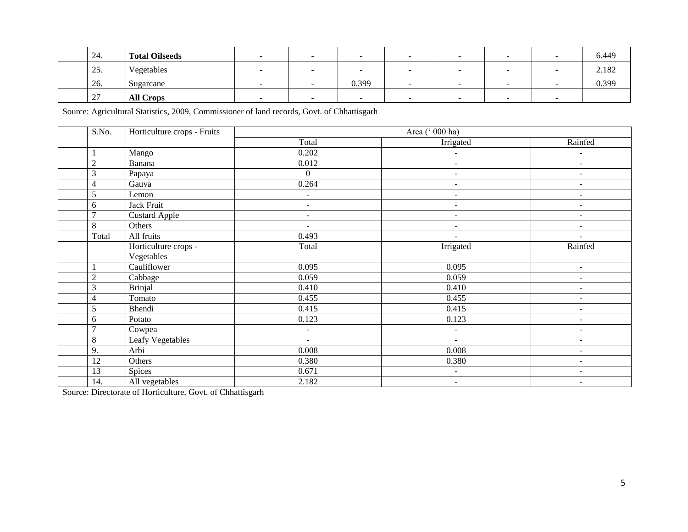| 24.                  | <b>Total Oilseeds</b> |  |       |  |  | 6.449 |
|----------------------|-----------------------|--|-------|--|--|-------|
| 25.                  | Vegetables            |  |       |  |  | 2.182 |
| 26.                  | Sugarcane             |  | 0.399 |  |  | 0.399 |
| 27<br>$\overline{a}$ | <b>All Crops</b>      |  |       |  |  |       |

Source: Agricultural Statistics, 2009, Commissioner of land records, Govt. of Chhattisgarh

| S.No.          | Horticulture crops - Fruits |                          | Area (' 000 ha)          |                          |
|----------------|-----------------------------|--------------------------|--------------------------|--------------------------|
|                |                             | Total                    | Irrigated                | Rainfed                  |
|                | Mango                       | 0.202                    | $\blacksquare$           | $\overline{a}$           |
| $\overline{2}$ | Banana                      | 0.012                    | ÷.                       | $\overline{\phantom{a}}$ |
| 3              | Papaya                      | $\overline{0}$           | $\overline{\phantom{a}}$ | $\overline{\phantom{0}}$ |
| $\overline{4}$ | Gauva                       | 0.264                    | ÷                        | ÷                        |
| $\sqrt{5}$     | Lemon                       | $\sim$                   | $\overline{a}$           | $\blacksquare$           |
| 6              | Jack Fruit                  | $\sim$                   | $\overline{\phantom{a}}$ | ٠                        |
| $\tau$         | Custard Apple               | $\overline{\phantom{a}}$ | $\overline{\phantom{a}}$ | ٠                        |
| $\,8\,$        | Others                      | $\overline{\phantom{a}}$ | $\blacksquare$           | ÷.                       |
| Total          | All fruits                  | 0.493                    | $\overline{a}$           | $\overline{a}$           |
|                | Horticulture crops -        | Total                    | Irrigated                | Rainfed                  |
|                | Vegetables                  |                          |                          |                          |
|                | Cauliflower                 | 0.095                    | 0.095                    | $\blacksquare$           |
| $\overline{2}$ | Cabbage                     | 0.059                    | 0.059                    | $\overline{\phantom{0}}$ |
| 3              | <b>Brinjal</b>              | 0.410                    | 0.410                    | $\blacksquare$           |
| $\overline{4}$ | Tomato                      | 0.455                    | 0.455                    | $\overline{a}$           |
| 5              | Bhendi                      | 0.415                    | 0.415                    | $\blacksquare$           |
| 6              | Potato                      | 0.123                    | 0.123                    | $\qquad \qquad -$        |
| $\overline{7}$ | Cowpea                      | $\overline{\phantom{a}}$ | $\blacksquare$           | $\overline{\phantom{a}}$ |
| $\,8\,$        | Leafy Vegetables            | $\blacksquare$           | $\sim$                   | $\overline{\phantom{0}}$ |
| 9.             | Arbi                        | 0.008                    | 0.008                    | ٠                        |
| 12             | Others                      | 0.380                    | 0.380                    | ٠                        |
| 13             | Spices                      | 0.671                    | $\blacksquare$           | ٠                        |
| 14.            | All vegetables              | 2.182                    | $\sim$                   | $\overline{\phantom{a}}$ |

Source: Directorate of Horticulture, Govt. of Chhattisgarh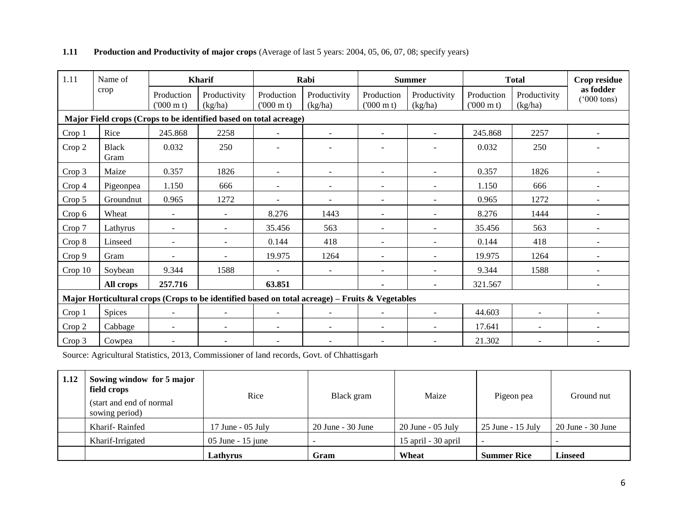| 1.11    | Name of              |                                 | <b>Kharif</b>                                                                                   |                                 | Rabi                     | <b>Summer</b>                   |                          | <b>Total</b>                    |                         | Crop residue                      |
|---------|----------------------|---------------------------------|-------------------------------------------------------------------------------------------------|---------------------------------|--------------------------|---------------------------------|--------------------------|---------------------------------|-------------------------|-----------------------------------|
|         | crop                 | Production<br>$(000 \text{ m})$ | Productivity<br>(kg/ha)                                                                         | Production<br>$(000 \text{ m})$ | Productivity<br>(kg/ha)  | Production<br>$(000 \text{ m})$ | Productivity<br>(kg/ha)  | Production<br>$(000 \text{ m})$ | Productivity<br>(kg/ha) | as fodder<br>$(000 \text{ tons})$ |
|         |                      |                                 | Major Field crops (Crops to be identified based on total acreage)                               |                                 |                          |                                 |                          |                                 |                         |                                   |
| Crop 1  | Rice                 | 245.868                         | 2258                                                                                            | $\sim$                          | $\sim$                   | $\sim$                          | $\sim$                   | 245.868                         | 2257                    |                                   |
| Crop 2  | <b>Black</b><br>Gram | 0.032                           | 250                                                                                             |                                 |                          |                                 |                          | 0.032                           | 250                     |                                   |
| Crop 3  | Maize                | 0.357                           | 1826                                                                                            |                                 |                          | $\overline{\phantom{a}}$        |                          | 0.357                           | 1826                    |                                   |
| Crop 4  | Pigeonpea            | 1.150                           | 666                                                                                             |                                 |                          | $\overline{a}$                  | $\sim$                   | 1.150                           | 666                     |                                   |
| Crop 5  | Groundnut            | 0.965                           | 1272                                                                                            | $\sim$                          | $\overline{\phantom{a}}$ | $\sim$                          | $\sim$                   | 0.965                           | 1272                    | $\overline{\phantom{a}}$          |
| Crop 6  | Wheat                | $\blacksquare$                  | $\blacksquare$                                                                                  | 8.276                           | 1443                     | $\sim$                          | $\sim$                   | 8.276                           | 1444                    | $\blacksquare$                    |
| Crop 7  | Lathyrus             | $\blacksquare$                  | $\overline{\phantom{a}}$                                                                        | 35.456                          | 563                      | $\overline{\phantom{a}}$        |                          | 35.456                          | 563                     |                                   |
| Crop 8  | Linseed              | $\blacksquare$                  | $\overline{\phantom{a}}$                                                                        | 0.144                           | 418                      | $\blacksquare$                  |                          | 0.144                           | 418                     |                                   |
| Crop 9  | Gram                 |                                 |                                                                                                 | 19.975                          | 1264                     | $\overline{a}$                  | ÷.                       | 19.975                          | 1264                    |                                   |
| Crop 10 | Soybean              | 9.344                           | 1588                                                                                            |                                 | $\sim$                   | $\overline{a}$                  | $\overline{a}$           | 9.344                           | 1588                    |                                   |
|         | All crops            | 257.716                         |                                                                                                 | 63.851                          |                          |                                 | $\blacksquare$           | 321.567                         |                         |                                   |
|         |                      |                                 | Major Horticultural crops (Crops to be identified based on total acreage) – Fruits & Vegetables |                                 |                          |                                 |                          |                                 |                         |                                   |
| Crop 1  | Spices               | $\blacksquare$                  | $\overline{\phantom{a}}$                                                                        |                                 |                          | $\overline{\phantom{a}}$        | $\overline{\phantom{a}}$ | 44.603                          |                         |                                   |
| Crop 2  | Cabbage              | $\blacksquare$                  | ٠                                                                                               |                                 | $\blacksquare$           | $\blacksquare$                  | $\sim$                   | 17.641                          | $\sim$                  |                                   |
| Crop 3  | Cowpea               |                                 |                                                                                                 |                                 |                          |                                 |                          | 21.302                          |                         |                                   |

### **1.11 Production and Productivity of major crops** (Average of last 5 years: 2004, 05, 06, 07, 08; specify years)

Source: Agricultural Statistics, 2013, Commissioner of land records, Govt. of Chhattisgarh

| 1.12 | Sowing window for 5 major<br>field crops<br>(start and end of normal<br>sowing period) | Rice                  | Black gram            | Maize               | Pigeon pea          | Ground nut            |
|------|----------------------------------------------------------------------------------------|-----------------------|-----------------------|---------------------|---------------------|-----------------------|
|      | Kharif-Rainfed                                                                         | $17$ June - $05$ July | $20$ June - $30$ June | $20$ June - 05 July | $25$ June - 15 July | $20$ June - $30$ June |
|      | Kharif-Irrigated                                                                       | $05$ June - 15 june   |                       | 15 april - 30 april |                     |                       |
|      |                                                                                        | Lathvrus              | Gram                  | Wheat               | <b>Summer Rice</b>  | <b>Linseed</b>        |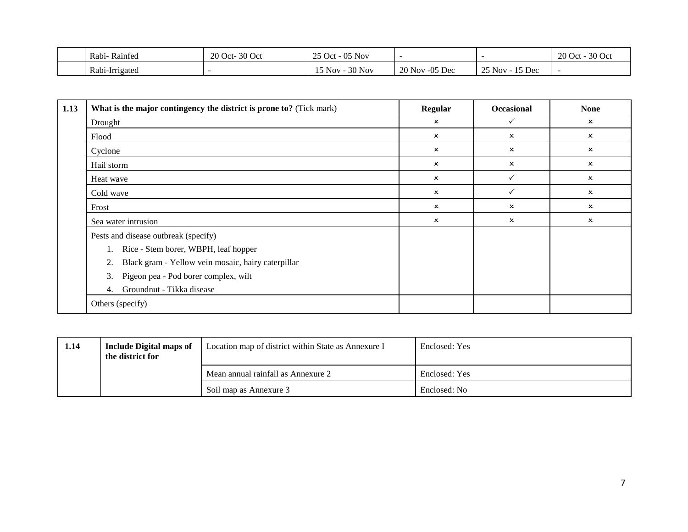| Rainfed<br>Rabi- | 20 Oct-30 Oct | t - 05 Nov<br>$25$ Oct -   |                       |                        | 30 Oct<br>$20$ Oct - |
|------------------|---------------|----------------------------|-----------------------|------------------------|----------------------|
| Rabi-Irrigated   |               | 30 Nov<br>$15$ Nov $\cdot$ | $20$ Nov<br>$-05$ Dec | $25$ Nov -<br>$15$ Dec |                      |

| 1.13 | What is the major contingency the district is prone to? (Tick mark) | Regular                   | <b>Occasional</b>         | <b>None</b>               |
|------|---------------------------------------------------------------------|---------------------------|---------------------------|---------------------------|
|      | Drought                                                             | $\boldsymbol{\mathsf{x}}$ | ✓                         | x                         |
|      | Flood                                                               | $\boldsymbol{\mathsf{x}}$ | $\boldsymbol{\mathsf{x}}$ | x                         |
|      | Cyclone                                                             | $\boldsymbol{\mathsf{x}}$ | ×                         | x                         |
|      | Hail storm                                                          | $\boldsymbol{\mathsf{x}}$ | $\boldsymbol{\mathsf{x}}$ | $\boldsymbol{\mathsf{x}}$ |
|      | Heat wave                                                           | $\boldsymbol{\mathsf{x}}$ |                           | ×                         |
|      | Cold wave                                                           | $\boldsymbol{\mathsf{x}}$ | ✓                         | ×                         |
|      | Frost                                                               | $\boldsymbol{\mathsf{x}}$ | ×                         | ×                         |
|      | Sea water intrusion                                                 | $\boldsymbol{\mathsf{x}}$ | $\boldsymbol{\mathsf{x}}$ | ×                         |
|      | Pests and disease outbreak (specify)                                |                           |                           |                           |
|      | 1. Rice - Stem borer, WBPH, leaf hopper                             |                           |                           |                           |
|      | Black gram - Yellow vein mosaic, hairy caterpillar<br>2.            |                           |                           |                           |
|      | Pigeon pea - Pod borer complex, wilt<br>3.                          |                           |                           |                           |
|      | Groundnut - Tikka disease<br>4.                                     |                           |                           |                           |
|      | Others (specify)                                                    |                           |                           |                           |

| 1.14 | Include Digital maps of<br>the district for | Location map of district within State as Annexure I | Enclosed: Yes |
|------|---------------------------------------------|-----------------------------------------------------|---------------|
|      |                                             | Mean annual rainfall as Annexure 2                  | Enclosed: Yes |
|      |                                             | Soil map as Annexure 3                              | Enclosed: No  |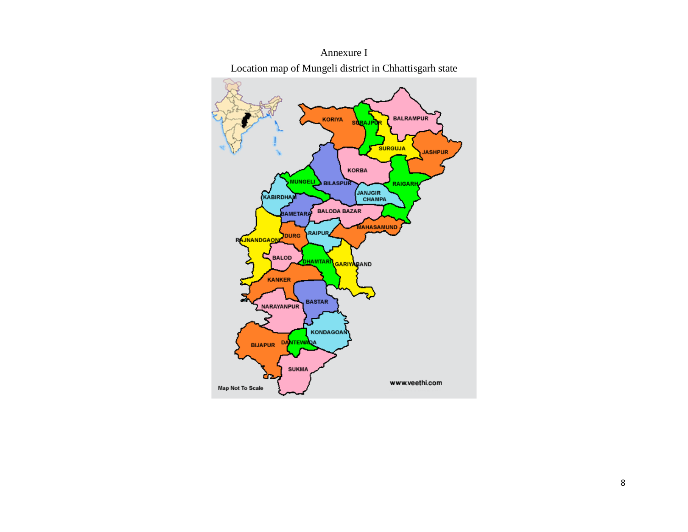

Annexure I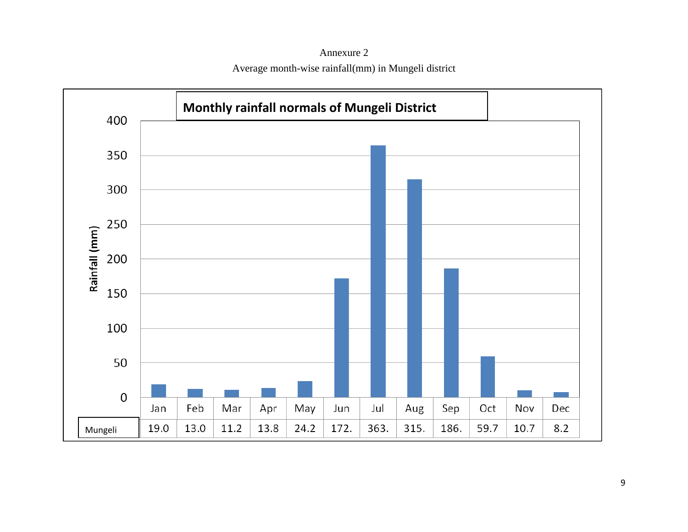Annexure 2 Average month-wise rainfall(mm) in Mungeli district

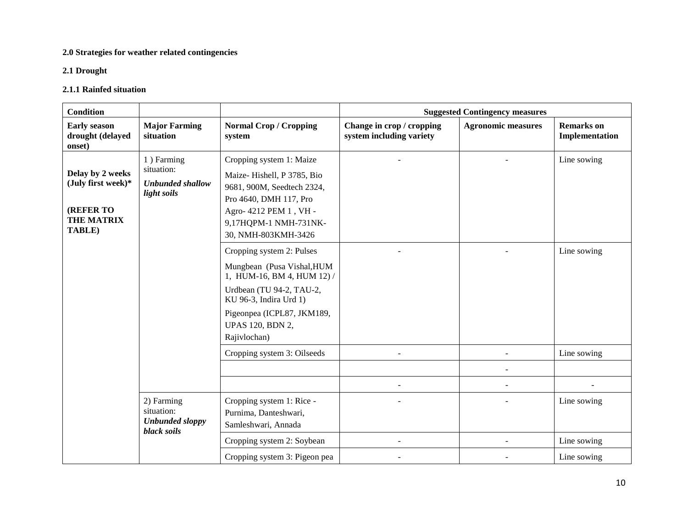#### **2.0 Strategies for weather related contingencies**

#### **2.1 Drought**

#### **2.1.1 Rainfed situation**

| <b>Condition</b>                                                                          |                                                                   |                                                                                                                                                                                                                       |                                                       | <b>Suggested Contingency measures</b> |                                           |
|-------------------------------------------------------------------------------------------|-------------------------------------------------------------------|-----------------------------------------------------------------------------------------------------------------------------------------------------------------------------------------------------------------------|-------------------------------------------------------|---------------------------------------|-------------------------------------------|
| <b>Early season</b><br>drought (delayed<br>onset)                                         | <b>Major Farming</b><br>situation                                 | <b>Normal Crop / Cropping</b><br>system                                                                                                                                                                               | Change in crop / cropping<br>system including variety | <b>Agronomic measures</b>             | <b>Remarks</b> on<br>Implementation       |
| Delay by 2 weeks<br>(July first week)*<br><b>(REFER TO</b><br><b>THE MATRIX</b><br>TABLE) | 1) Farming<br>situation:<br>Unbunded shallow<br>light soils       | Cropping system 1: Maize<br>Maize-Hishell, P 3785, Bio<br>9681, 900M, Seedtech 2324,<br>Pro 4640, DMH 117, Pro<br>Agro- 4212 PEM 1, VH -<br>9,17HQPM-1 NMH-731NK-<br>30, NMH-803KMH-3426<br>Cropping system 2: Pulses |                                                       |                                       | Line sowing<br>Line sowing                |
|                                                                                           |                                                                   | Mungbean (Pusa Vishal, HUM<br>1, HUM-16, BM 4, HUM 12) /<br>Urdbean (TU 94-2, TAU-2,<br>KU 96-3, Indira Urd 1)<br>Pigeonpea (ICPL87, JKM189,<br><b>UPAS 120, BDN 2,</b><br>Rajivlochan)                               |                                                       |                                       |                                           |
|                                                                                           |                                                                   | Cropping system 3: Oilseeds                                                                                                                                                                                           |                                                       |                                       | Line sowing                               |
|                                                                                           | 2) Farming<br>situation:<br><b>Unbunded sloppy</b><br>black soils | Cropping system 1: Rice -<br>Purnima, Danteshwari,<br>Samleshwari, Annada<br>Cropping system 2: Soybean<br>Cropping system 3: Pigeon pea                                                                              | $\blacksquare$                                        |                                       | Line sowing<br>Line sowing<br>Line sowing |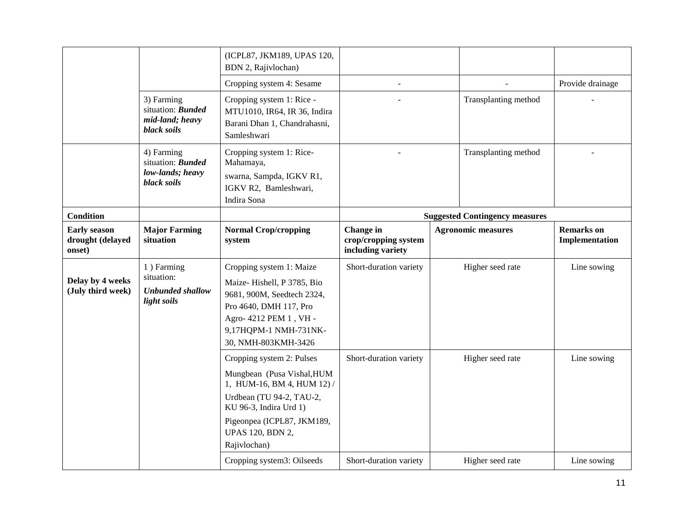|                                                   |                                                                           | (ICPL87, JKM189, UPAS 120,<br>BDN 2, Rajivlochan)                                                                                                                                                                    |                                                               |                                       |                                     |
|---------------------------------------------------|---------------------------------------------------------------------------|----------------------------------------------------------------------------------------------------------------------------------------------------------------------------------------------------------------------|---------------------------------------------------------------|---------------------------------------|-------------------------------------|
|                                                   |                                                                           | Cropping system 4: Sesame                                                                                                                                                                                            | $\overline{\phantom{a}}$                                      |                                       | Provide drainage                    |
|                                                   | 3) Farming<br>situation: <b>Bunded</b><br>mid-land; heavy<br>black soils  | Cropping system 1: Rice -<br>MTU1010, IR64, IR 36, Indira<br>Barani Dhan 1, Chandrahasni,<br>Samleshwari                                                                                                             |                                                               | Transplanting method                  |                                     |
|                                                   | 4) Farming<br>situation: <b>Bunded</b><br>low-lands; heavy<br>black soils | Cropping system 1: Rice-<br>Mahamaya,<br>swarna, Sampda, IGKV R1,<br>IGKV R2, Bamleshwari,<br>Indira Sona                                                                                                            |                                                               | Transplanting method                  |                                     |
| <b>Condition</b>                                  |                                                                           |                                                                                                                                                                                                                      |                                                               | <b>Suggested Contingency measures</b> |                                     |
| <b>Early season</b><br>drought (delayed<br>onset) | <b>Major Farming</b><br>situation                                         | <b>Normal Crop/cropping</b><br>system                                                                                                                                                                                | <b>Change</b> in<br>crop/cropping system<br>including variety | <b>Agronomic measures</b>             | <b>Remarks</b> on<br>Implementation |
| Delay by 4 weeks<br>(July third week)             | 1) Farming<br>situation:<br><b>Unbunded shallow</b><br>light soils        | Cropping system 1: Maize<br>Maize-Hishell, P 3785, Bio<br>9681, 900M, Seedtech 2324,<br>Pro 4640, DMH 117, Pro<br>Agro- 4212 PEM 1, VH -<br>9,17HQPM-1 NMH-731NK-<br>30, NMH-803KMH-3426                             | Short-duration variety                                        | Higher seed rate                      | Line sowing                         |
|                                                   |                                                                           | Cropping system 2: Pulses<br>Mungbean (Pusa Vishal, HUM<br>1, HUM-16, BM 4, HUM 12) /<br>Urdbean (TU 94-2, TAU-2,<br>KU 96-3, Indira Urd 1)<br>Pigeonpea (ICPL87, JKM189,<br><b>UPAS 120, BDN 2,</b><br>Rajivlochan) | Short-duration variety                                        | Higher seed rate                      | Line sowing                         |
|                                                   |                                                                           | Cropping system3: Oilseeds                                                                                                                                                                                           | Short-duration variety                                        | Higher seed rate                      | Line sowing                         |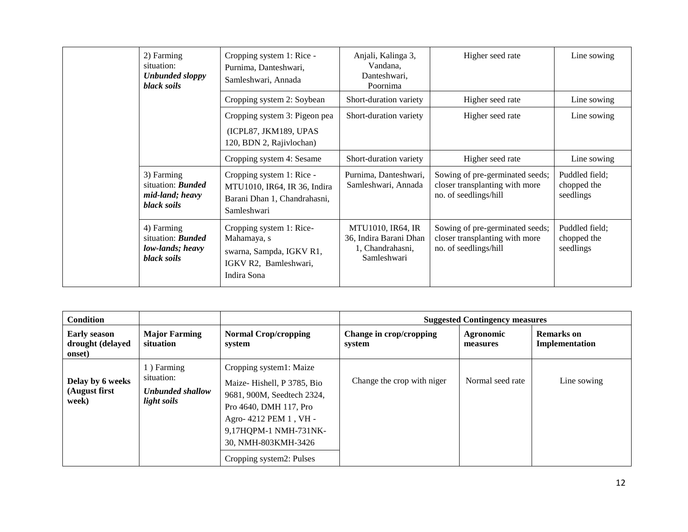|  |                                                                           | 2) Farming<br>situation:<br><b>Unbunded sloppy</b><br>black soils                                           | Cropping system 1: Rice -<br>Purnima, Danteshwari,<br>Samleshwari, Annada                                | Anjali, Kalinga 3,<br>Vandana,<br>Danteshwari,<br>Poornima                                 | Higher seed rate                                                                           | Line sowing                                |
|--|---------------------------------------------------------------------------|-------------------------------------------------------------------------------------------------------------|----------------------------------------------------------------------------------------------------------|--------------------------------------------------------------------------------------------|--------------------------------------------------------------------------------------------|--------------------------------------------|
|  |                                                                           |                                                                                                             | Cropping system 2: Soybean                                                                               | Short-duration variety                                                                     | Higher seed rate                                                                           | Line sowing                                |
|  |                                                                           |                                                                                                             | Cropping system 3: Pigeon pea<br>(ICPL87, JKM189, UPAS<br>120, BDN 2, Rajivlochan)                       | Short-duration variety                                                                     | Higher seed rate                                                                           | Line sowing                                |
|  |                                                                           |                                                                                                             | Cropping system 4: Sesame                                                                                | Short-duration variety                                                                     | Higher seed rate                                                                           | Line sowing                                |
|  |                                                                           | 3) Farming<br>situation: <b>Bunded</b><br>mid-land; heavy<br>black soils                                    | Cropping system 1: Rice -<br>MTU1010, IR64, IR 36, Indira<br>Barani Dhan 1, Chandrahasni,<br>Samleshwari | Purnima, Danteshwari,<br>Samleshwari, Annada                                               | Sowing of pre-germinated seeds;<br>closer transplanting with more<br>no. of seedlings/hill | Puddled field;<br>chopped the<br>seedlings |
|  | 4) Farming<br>situation: <b>Bunded</b><br>low-lands; heavy<br>black soils | Cropping system 1: Rice-<br>Mahamaya, s<br>swarna, Sampda, IGKV R1,<br>IGKV R2, Bamleshwari,<br>Indira Sona | <b>MTU1010, IR64, IR</b><br>36, Indira Barani Dhan<br>1, Chandrahasni,<br>Samleshwari                    | Sowing of pre-germinated seeds;<br>closer transplanting with more<br>no. of seedlings/hill | Puddled field;<br>chopped the<br>seedlings                                                 |                                            |

| <b>Condition</b>                                  |                                                             |                                                                                                                                                                                                                     |                                   | <b>Suggested Contingency measures</b> |                              |
|---------------------------------------------------|-------------------------------------------------------------|---------------------------------------------------------------------------------------------------------------------------------------------------------------------------------------------------------------------|-----------------------------------|---------------------------------------|------------------------------|
| <b>Early season</b><br>drought (delayed<br>onset) | <b>Major Farming</b><br>situation                           | <b>Normal Crop/cropping</b><br>system                                                                                                                                                                               | Change in crop/cropping<br>system | Agronomic<br>measures                 | Remarks on<br>Implementation |
| Delay by 6 weeks<br>(August first)<br>week)       | 1) Farming<br>situation:<br>Unbunded shallow<br>light soils | Cropping system1: Maize<br>Maize-Hishell, P 3785, Bio<br>9681, 900M, Seedtech 2324,<br>Pro 4640, DMH 117, Pro<br>Agro- 4212 PEM 1, VH -<br>9,17HQPM-1 NMH-731NK-<br>30, NMH-803KMH-3426<br>Cropping system2: Pulses | Change the crop with niger        | Normal seed rate                      | Line sowing                  |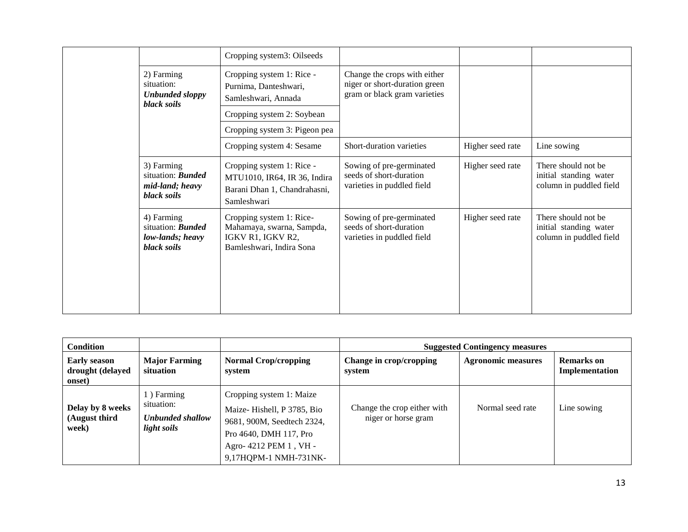|  |                                                                           | Cropping system3: Oilseeds                                                                               |                                                                                               |                  |                                                                           |
|--|---------------------------------------------------------------------------|----------------------------------------------------------------------------------------------------------|-----------------------------------------------------------------------------------------------|------------------|---------------------------------------------------------------------------|
|  | 2) Farming<br>situation:<br><b>Unbunded sloppy</b><br>black soils         | Cropping system 1: Rice -<br>Purnima, Danteshwari,<br>Samleshwari, Annada                                | Change the crops with either<br>niger or short-duration green<br>gram or black gram varieties |                  |                                                                           |
|  |                                                                           | Cropping system 2: Soybean                                                                               |                                                                                               |                  |                                                                           |
|  |                                                                           | Cropping system 3: Pigeon pea                                                                            |                                                                                               |                  |                                                                           |
|  |                                                                           | Cropping system 4: Sesame                                                                                | Short-duration varieties                                                                      | Higher seed rate | Line sowing                                                               |
|  | 3) Farming<br>situation: <b>Bunded</b><br>mid-land; heavy<br>black soils  | Cropping system 1: Rice -<br>MTU1010, IR64, IR 36, Indira<br>Barani Dhan 1, Chandrahasni,<br>Samleshwari | Sowing of pre-germinated<br>seeds of short-duration<br>varieties in puddled field             | Higher seed rate | There should not be.<br>initial standing water<br>column in puddled field |
|  | 4) Farming<br>situation: <b>Bunded</b><br>low-lands; heavy<br>black soils | Cropping system 1: Rice-<br>Mahamaya, swarna, Sampda,<br>IGKV R1, IGKV R2,<br>Bamleshwari, Indira Sona   | Sowing of pre-germinated<br>seeds of short-duration<br>varieties in puddled field             | Higher seed rate | There should not be.<br>initial standing water<br>column in puddled field |

| <b>Condition</b>                                  |                                                             |                                                                                                                                                                   |                                                    | <b>Suggested Contingency measures</b> |                                     |
|---------------------------------------------------|-------------------------------------------------------------|-------------------------------------------------------------------------------------------------------------------------------------------------------------------|----------------------------------------------------|---------------------------------------|-------------------------------------|
| <b>Early season</b><br>drought (delayed<br>onset) | <b>Major Farming</b><br>situation                           | <b>Normal Crop/cropping</b><br>system                                                                                                                             | Change in crop/cropping<br>system                  | <b>Agronomic measures</b>             | <b>Remarks</b> on<br>Implementation |
| Delay by 8 weeks<br>(August third<br>week)        | 1) Farming<br>situation:<br>Unbunded shallow<br>light soils | Cropping system 1: Maize<br>Maize-Hishell, P 3785, Bio<br>9681, 900M, Seedtech 2324,<br>Pro 4640, DMH 117, Pro<br>Agro- 4212 PEM 1, VH -<br>9,17HQPM-1 NMH-731NK- | Change the crop either with<br>niger or horse gram | Normal seed rate                      | Line sowing                         |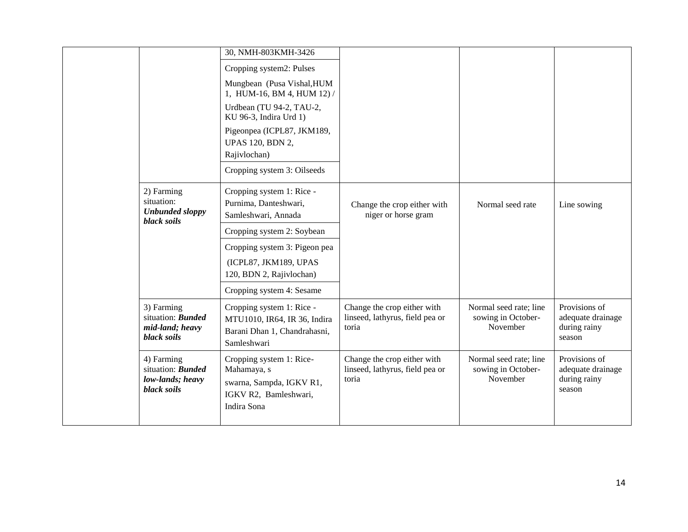|                                                                           | 30, NMH-803KMH-3426<br>Cropping system2: Pulses<br>Mungbean (Pusa Vishal, HUM<br>1, HUM-16, BM 4, HUM 12) /<br>Urdbean (TU 94-2, TAU-2,<br>KU 96-3, Indira Urd 1)<br>Pigeonpea (ICPL87, JKM189,<br><b>UPAS 120, BDN 2,</b> |                                                                         |                                                          |                                                              |
|---------------------------------------------------------------------------|----------------------------------------------------------------------------------------------------------------------------------------------------------------------------------------------------------------------------|-------------------------------------------------------------------------|----------------------------------------------------------|--------------------------------------------------------------|
|                                                                           | Rajivlochan)<br>Cropping system 3: Oilseeds                                                                                                                                                                                |                                                                         |                                                          |                                                              |
| 2) Farming<br>situation:<br><b>Unbunded sloppy</b><br>black soils         | Cropping system 1: Rice -<br>Purnima, Danteshwari,<br>Samleshwari, Annada                                                                                                                                                  | Change the crop either with<br>niger or horse gram                      | Normal seed rate                                         | Line sowing                                                  |
|                                                                           | Cropping system 2: Soybean<br>Cropping system 3: Pigeon pea<br>(ICPL87, JKM189, UPAS<br>120, BDN 2, Rajivlochan)<br>Cropping system 4: Sesame                                                                              |                                                                         |                                                          |                                                              |
| 3) Farming<br>situation: <b>Bunded</b><br>mid-land; heavy<br>black soils  | Cropping system 1: Rice -<br>MTU1010, IR64, IR 36, Indira<br>Barani Dhan 1, Chandrahasni,<br>Samleshwari                                                                                                                   | Change the crop either with<br>linseed, lathyrus, field pea or<br>toria | Normal seed rate; line<br>sowing in October-<br>November | Provisions of<br>adequate drainage<br>during rainy<br>season |
| 4) Farming<br>situation: <b>Bunded</b><br>low-lands; heavy<br>black soils | Cropping system 1: Rice-<br>Mahamaya, s<br>swarna, Sampda, IGKV R1,<br>IGKV R2, Bamleshwari,<br>Indira Sona                                                                                                                | Change the crop either with<br>linseed, lathyrus, field pea or<br>toria | Normal seed rate; line<br>sowing in October-<br>November | Provisions of<br>adequate drainage<br>during rainy<br>season |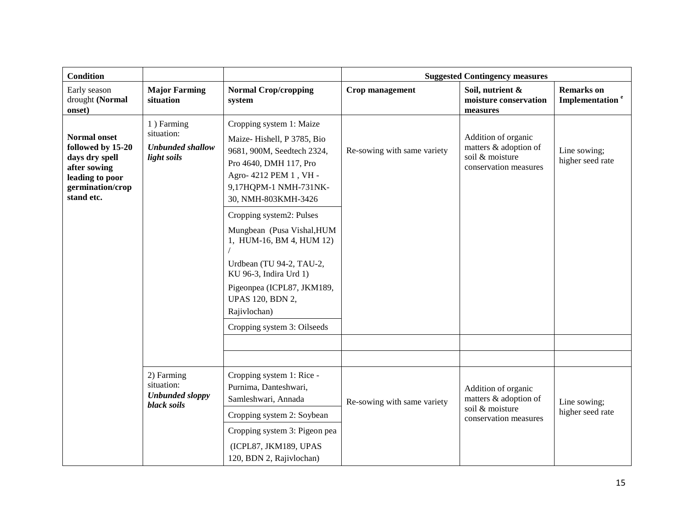| <b>Condition</b>                                                                                                                |                                                                    |                                                                                                                                                                                                                                                                                |                             | <b>Suggested Contingency measures</b>                                                    |                                                  |
|---------------------------------------------------------------------------------------------------------------------------------|--------------------------------------------------------------------|--------------------------------------------------------------------------------------------------------------------------------------------------------------------------------------------------------------------------------------------------------------------------------|-----------------------------|------------------------------------------------------------------------------------------|--------------------------------------------------|
| Early season<br>drought (Normal<br>onset)                                                                                       | <b>Major Farming</b><br>situation                                  | <b>Normal Crop/cropping</b><br>system                                                                                                                                                                                                                                          | Crop management             | Soil, nutrient &<br>moisture conservation<br>measures                                    | <b>Remarks</b> on<br>Implementation <sup>e</sup> |
| <b>Normal onset</b><br>followed by 15-20<br>days dry spell<br>after sowing<br>leading to poor<br>germination/crop<br>stand etc. | 1) Farming<br>situation:<br><b>Unbunded shallow</b><br>light soils | Cropping system 1: Maize<br>Maize-Hishell, P 3785, Bio<br>9681, 900M, Seedtech 2324,<br>Pro 4640, DMH 117, Pro<br>Agro- 4212 PEM 1, VH -<br>9,17HQPM-1 NMH-731NK-<br>30, NMH-803KMH-3426<br>Cropping system2: Pulses<br>Mungbean (Pusa Vishal, HUM<br>1, HUM-16, BM 4, HUM 12) | Re-sowing with same variety | Addition of organic<br>matters & adoption of<br>soil & moisture<br>conservation measures | Line sowing;<br>higher seed rate                 |
|                                                                                                                                 |                                                                    | Urdbean (TU 94-2, TAU-2,<br>KU 96-3, Indira Urd 1)<br>Pigeonpea (ICPL87, JKM189,<br><b>UPAS 120, BDN 2,</b><br>Rajivlochan)<br>Cropping system 3: Oilseeds                                                                                                                     |                             |                                                                                          |                                                  |
|                                                                                                                                 |                                                                    |                                                                                                                                                                                                                                                                                |                             |                                                                                          |                                                  |
|                                                                                                                                 |                                                                    |                                                                                                                                                                                                                                                                                |                             |                                                                                          |                                                  |
|                                                                                                                                 | 2) Farming<br>situation:<br><b>Unbunded sloppy</b><br>black soils  | Cropping system 1: Rice -<br>Purnima, Danteshwari,<br>Samleshwari, Annada                                                                                                                                                                                                      | Re-sowing with same variety | Addition of organic<br>matters & adoption of                                             | Line sowing;                                     |
|                                                                                                                                 |                                                                    | Cropping system 2: Soybean<br>Cropping system 3: Pigeon pea<br>(ICPL87, JKM189, UPAS<br>120, BDN 2, Rajivlochan)                                                                                                                                                               |                             | soil & moisture<br>conservation measures                                                 | higher seed rate                                 |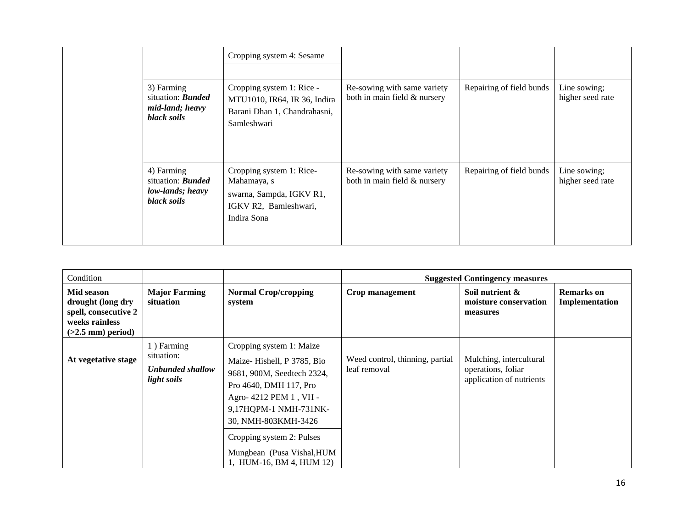|                                                                           | Cropping system 4: Sesame                                                                                   |                                                             |                          |                                  |
|---------------------------------------------------------------------------|-------------------------------------------------------------------------------------------------------------|-------------------------------------------------------------|--------------------------|----------------------------------|
| 3) Farming<br>situation: <b>Bunded</b><br>mid-land; heavy<br>black soils  | Cropping system 1: Rice -<br>MTU1010, IR64, IR 36, Indira<br>Barani Dhan 1, Chandrahasni,<br>Samleshwari    | Re-sowing with same variety<br>both in main field & nursery | Repairing of field bunds | Line sowing;<br>higher seed rate |
| 4) Farming<br>situation: <b>Bunded</b><br>low-lands; heavy<br>black soils | Cropping system 1: Rice-<br>Mahamaya, s<br>swarna, Sampda, IGKV R1,<br>IGKV R2, Bamleshwari,<br>Indira Sona | Re-sowing with same variety<br>both in main field & nursery | Repairing of field bunds | Line sowing;<br>higher seed rate |

| Condition                                                                                        |                                                             |                                                                                                                                                                                                                                                                                 |                                                 | <b>Suggested Contingency measures</b>                                     |                                     |
|--------------------------------------------------------------------------------------------------|-------------------------------------------------------------|---------------------------------------------------------------------------------------------------------------------------------------------------------------------------------------------------------------------------------------------------------------------------------|-------------------------------------------------|---------------------------------------------------------------------------|-------------------------------------|
| Mid season<br>drought (long dry<br>spell, consecutive 2<br>weeks rainless<br>$(>2.5$ mm) period) | <b>Major Farming</b><br>situation                           | <b>Normal Crop/cropping</b><br>system                                                                                                                                                                                                                                           | Crop management                                 | Soil nutrient &<br>moisture conservation<br>measures                      | <b>Remarks</b> on<br>Implementation |
| At vegetative stage                                                                              | 1) Farming<br>situation:<br>Unbunded shallow<br>light soils | Cropping system 1: Maize<br>Maize-Hishell, P 3785, Bio<br>9681, 900M, Seedtech 2324,<br>Pro 4640, DMH 117, Pro<br>Agro- 4212 PEM 1, VH -<br>9,17HQPM-1 NMH-731NK-<br>30, NMH-803KMH-3426<br>Cropping system 2: Pulses<br>Mungbean (Pusa Vishal, HUM<br>1, HUM-16, BM 4, HUM 12) | Weed control, thinning, partial<br>leaf removal | Mulching, intercultural<br>operations, foliar<br>application of nutrients |                                     |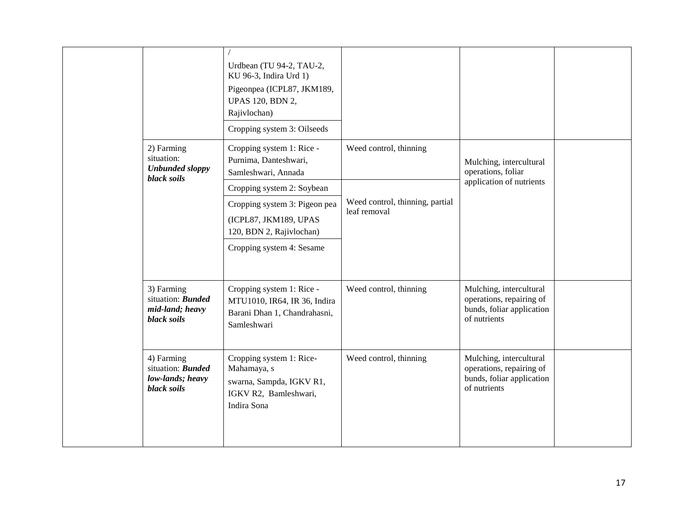|                                                                           | Urdbean (TU 94-2, TAU-2,<br>KU 96-3, Indira Urd 1)<br>Pigeonpea (ICPL87, JKM189,<br><b>UPAS 120, BDN 2,</b><br>Rajivlochan) |                                                 |                                                                                                  |  |
|---------------------------------------------------------------------------|-----------------------------------------------------------------------------------------------------------------------------|-------------------------------------------------|--------------------------------------------------------------------------------------------------|--|
| 2) Farming<br>situation:                                                  | Cropping system 3: Oilseeds<br>Cropping system 1: Rice -<br>Purnima, Danteshwari,                                           | Weed control, thinning                          | Mulching, intercultural                                                                          |  |
| <b>Unbunded sloppy</b><br>black soils                                     | Samleshwari, Annada<br>Cropping system 2: Soybean                                                                           |                                                 | operations, foliar<br>application of nutrients                                                   |  |
|                                                                           | Cropping system 3: Pigeon pea<br>(ICPL87, JKM189, UPAS<br>120, BDN 2, Rajivlochan)                                          | Weed control, thinning, partial<br>leaf removal |                                                                                                  |  |
|                                                                           | Cropping system 4: Sesame                                                                                                   |                                                 |                                                                                                  |  |
| 3) Farming<br>situation: <b>Bunded</b><br>mid-land; heavy<br>black soils  | Cropping system 1: Rice -<br>MTU1010, IR64, IR 36, Indira<br>Barani Dhan 1, Chandrahasni,<br>Samleshwari                    | Weed control, thinning                          | Mulching, intercultural<br>operations, repairing of<br>bunds, foliar application<br>of nutrients |  |
| 4) Farming<br>situation: <b>Bunded</b><br>low-lands; heavy<br>black soils | Cropping system 1: Rice-<br>Mahamaya, s<br>swarna, Sampda, IGKV R1,<br>IGKV R2, Bamleshwari,<br>Indira Sona                 | Weed control, thinning                          | Mulching, intercultural<br>operations, repairing of<br>bunds, foliar application<br>of nutrients |  |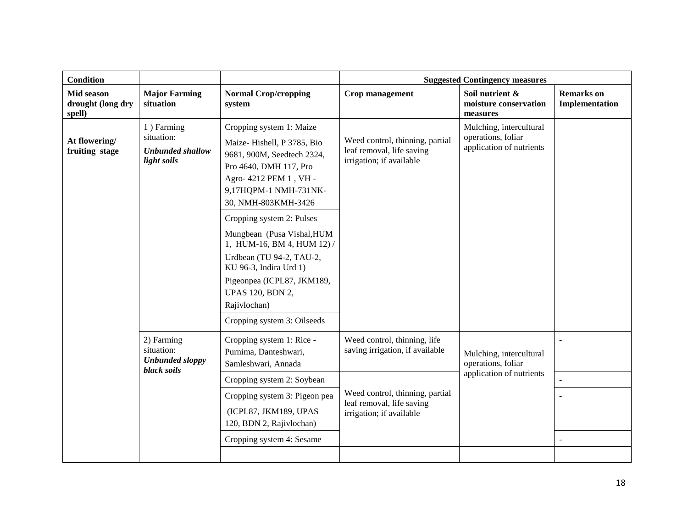| <b>Major Farming</b>                                               |                                                                                                                                                                                                                                                                                                                                                                                                                                                 |                                                                                                                                                             |                                                                           |                                     |
|--------------------------------------------------------------------|-------------------------------------------------------------------------------------------------------------------------------------------------------------------------------------------------------------------------------------------------------------------------------------------------------------------------------------------------------------------------------------------------------------------------------------------------|-------------------------------------------------------------------------------------------------------------------------------------------------------------|---------------------------------------------------------------------------|-------------------------------------|
| situation                                                          | <b>Normal Crop/cropping</b><br>system                                                                                                                                                                                                                                                                                                                                                                                                           | Crop management                                                                                                                                             | Soil nutrient &<br>moisture conservation<br>measures                      | <b>Remarks</b> on<br>Implementation |
| 1) Farming<br>situation:<br><b>Unbunded shallow</b><br>light soils | Cropping system 1: Maize<br>Maize-Hishell, P 3785, Bio<br>9681, 900M, Seedtech 2324,<br>Pro 4640, DMH 117, Pro<br>Agro- 4212 PEM 1, VH -<br>9,17HQPM-1 NMH-731NK-<br>30, NMH-803KMH-3426<br>Cropping system 2: Pulses<br>Mungbean (Pusa Vishal, HUM<br>1, HUM-16, BM 4, HUM 12) /<br>Urdbean (TU 94-2, TAU-2,<br>KU 96-3, Indira Urd 1)<br>Pigeonpea (ICPL87, JKM189,<br><b>UPAS 120, BDN 2,</b><br>Rajivlochan)<br>Cropping system 3: Oilseeds | Weed control, thinning, partial<br>leaf removal, life saving<br>irrigation; if available                                                                    | Mulching, intercultural<br>operations, foliar<br>application of nutrients |                                     |
| 2) Farming<br>situation:<br><b>Unbunded sloppy</b><br>black soils  | Cropping system 1: Rice -<br>Purnima, Danteshwari,<br>Samleshwari, Annada<br>Cropping system 2: Soybean<br>Cropping system 3: Pigeon pea<br>(ICPL87, JKM189, UPAS<br>120, BDN 2, Rajivlochan)<br>Cropping system 4: Sesame                                                                                                                                                                                                                      | Weed control, thinning, life<br>saving irrigation, if available<br>Weed control, thinning, partial<br>leaf removal, life saving<br>irrigation; if available | Mulching, intercultural<br>operations, foliar<br>application of nutrients | $\overline{a}$                      |
|                                                                    |                                                                                                                                                                                                                                                                                                                                                                                                                                                 |                                                                                                                                                             |                                                                           |                                     |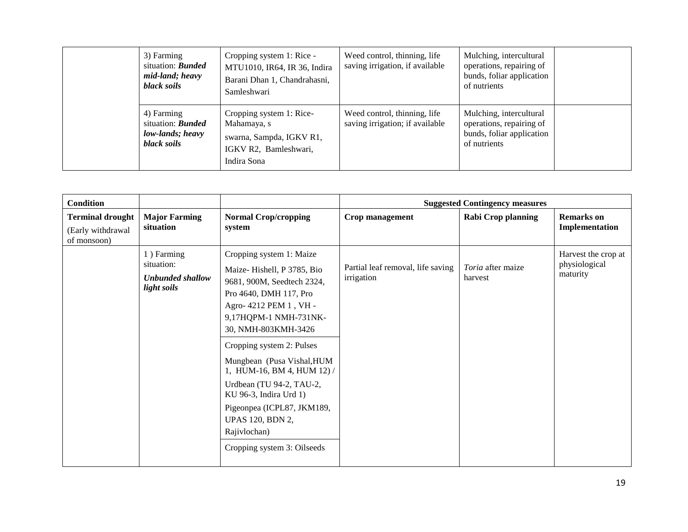| 3) Farming<br>situation: <b>Bunded</b><br>mid-land; heavy<br>black soils  | Cropping system 1: Rice -<br>MTU1010, IR64, IR 36, Indira<br>Barani Dhan 1, Chandrahasni,<br>Samleshwari    | Weed control, thinning, life<br>saving irrigation, if available | Mulching, intercultural<br>operations, repairing of<br>bunds, foliar application<br>of nutrients |  |
|---------------------------------------------------------------------------|-------------------------------------------------------------------------------------------------------------|-----------------------------------------------------------------|--------------------------------------------------------------------------------------------------|--|
| 4) Farming<br>situation: <b>Bunded</b><br>low-lands; heavy<br>black soils | Cropping system 1: Rice-<br>Mahamaya, s<br>swarna, Sampda, IGKV R1,<br>IGKV R2, Bamleshwari,<br>Indira Sona | Weed control, thinning, life<br>saving irrigation; if available | Mulching, intercultural<br>operations, repairing of<br>bunds, foliar application<br>of nutrients |  |

| <b>Condition</b>                                            |                                                                    |                                                                                                                                                                                                                                                                                                                                                                                                                                                 |                                                 | <b>Suggested Contingency measures</b> |                                                  |
|-------------------------------------------------------------|--------------------------------------------------------------------|-------------------------------------------------------------------------------------------------------------------------------------------------------------------------------------------------------------------------------------------------------------------------------------------------------------------------------------------------------------------------------------------------------------------------------------------------|-------------------------------------------------|---------------------------------------|--------------------------------------------------|
| <b>Terminal drought</b><br>(Early withdrawal<br>of monsoon) | <b>Major Farming</b><br>situation                                  | <b>Normal Crop/cropping</b><br>system                                                                                                                                                                                                                                                                                                                                                                                                           | Crop management                                 | <b>Rabi Crop planning</b>             | <b>Remarks</b> on<br>Implementation              |
|                                                             | 1) Farming<br>situation:<br><b>Unbunded shallow</b><br>light soils | Cropping system 1: Maize<br>Maize-Hishell, P 3785, Bio<br>9681, 900M, Seedtech 2324,<br>Pro 4640, DMH 117, Pro<br>Agro- 4212 PEM 1, VH -<br>9,17HQPM-1 NMH-731NK-<br>30, NMH-803KMH-3426<br>Cropping system 2: Pulses<br>Mungbean (Pusa Vishal, HUM<br>1, HUM-16, BM 4, HUM 12) /<br>Urdbean (TU 94-2, TAU-2,<br>KU 96-3, Indira Urd 1)<br>Pigeonpea (ICPL87, JKM189,<br><b>UPAS 120, BDN 2,</b><br>Rajivlochan)<br>Cropping system 3: Oilseeds | Partial leaf removal, life saving<br>irrigation | <i>Toria</i> after maize<br>harvest   | Harvest the crop at<br>physiological<br>maturity |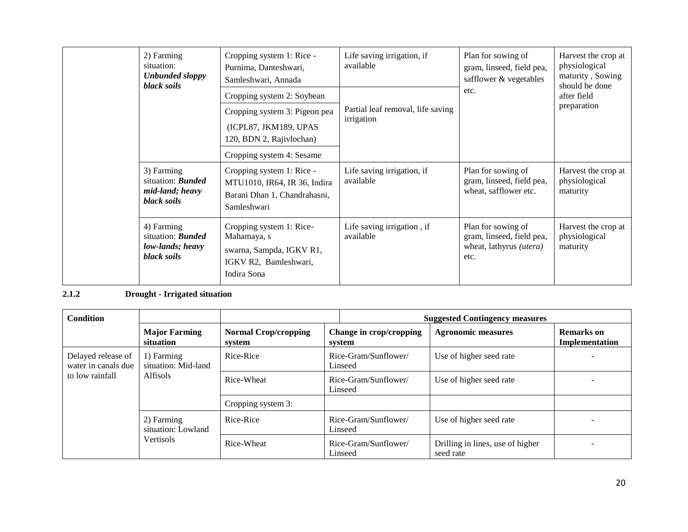| 2) Farming<br>situation:<br><b>Unbunded sloppy</b><br>black soils         | Cropping system 1: Rice -<br>Purnima, Danteshwari,<br>Samleshwari, Annada                                   | Life saving irrigation, if<br>available         | Plan for sowing of<br>gram, linseed, field pea,<br>safflower & vegetables          | Harvest the crop at<br>physiological<br>maturity, Sowing<br>should be done |  |
|---------------------------------------------------------------------------|-------------------------------------------------------------------------------------------------------------|-------------------------------------------------|------------------------------------------------------------------------------------|----------------------------------------------------------------------------|--|
|                                                                           | Cropping system 2: Soybean                                                                                  |                                                 | etc.                                                                               | after field                                                                |  |
|                                                                           | Cropping system 3: Pigeon pea<br>(ICPL87, JKM189, UPAS<br>120, BDN 2, Rajivlochan)                          | Partial leaf removal, life saving<br>irrigation |                                                                                    | preparation                                                                |  |
|                                                                           | Cropping system 4: Sesame                                                                                   |                                                 |                                                                                    |                                                                            |  |
| 3) Farming<br>situation: <b>Bunded</b><br>mid-land; heavy<br>black soils  | Cropping system 1: Rice -<br>MTU1010, IR64, IR 36, Indira<br>Barani Dhan 1, Chandrahasni,<br>Samleshwari    | Life saving irrigation, if<br>available         | Plan for sowing of<br>gram, linseed, field pea,<br>wheat, safflower etc.           | Harvest the crop at<br>physiological<br>maturity                           |  |
| 4) Farming<br>situation: <b>Bunded</b><br>low-lands; heavy<br>black soils | Cropping system 1: Rice-<br>Mahamaya, s<br>swarna, Sampda, IGKV R1,<br>IGKV R2, Bamleshwari,<br>Indira Sona | Life saving irrigation, if<br>available         | Plan for sowing of<br>gram, linseed, field pea,<br>wheat, lathyrus (utera)<br>etc. | Harvest the crop at<br>physiological<br>maturity                           |  |

### **2.1.2 Drought - Irrigated situation**

| <b>Condition</b>                                             |                                                      |                                       |                                   | <b>Suggested Contingency measures</b>         |                                     |
|--------------------------------------------------------------|------------------------------------------------------|---------------------------------------|-----------------------------------|-----------------------------------------------|-------------------------------------|
|                                                              | <b>Major Farming</b><br>situation                    | <b>Normal Crop/cropping</b><br>system | Change in crop/cropping<br>system | <b>Agronomic measures</b>                     | <b>Remarks</b> on<br>Implementation |
| Delayed release of<br>water in canals due<br>to low rainfall | 1) Farming<br>situation: Mid-land                    | Rice-Rice                             | Rice-Gram/Sunflower/<br>Linseed   | Use of higher seed rate                       |                                     |
|                                                              | <b>Alfisols</b>                                      | Rice-Wheat                            | Rice-Gram/Sunflower/<br>Linseed   | Use of higher seed rate                       |                                     |
|                                                              |                                                      | Cropping system 3:                    |                                   |                                               |                                     |
|                                                              | 2) Farming<br>situation: Lowland<br><b>Vertisols</b> | Rice-Rice                             | Rice-Gram/Sunflower/<br>Linseed   | Use of higher seed rate                       |                                     |
|                                                              |                                                      | Rice-Wheat                            | Rice-Gram/Sunflower/<br>Linseed   | Drilling in lines, use of higher<br>seed rate |                                     |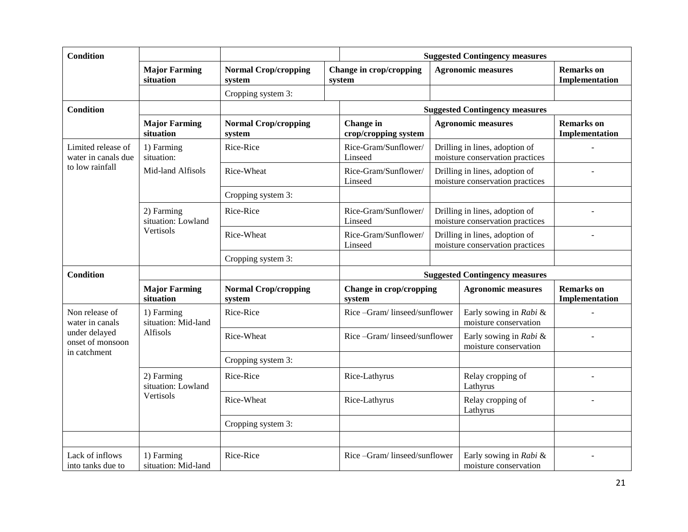| <b>Condition</b>                                  |                                   |                                       | <b>Suggested Contingency measures</b> |  |                                                                   |                                     |
|---------------------------------------------------|-----------------------------------|---------------------------------------|---------------------------------------|--|-------------------------------------------------------------------|-------------------------------------|
|                                                   | <b>Major Farming</b><br>situation | <b>Normal Crop/cropping</b><br>system | Change in crop/cropping<br>system     |  | <b>Agronomic measures</b>                                         | <b>Remarks</b> on<br>Implementation |
|                                                   |                                   | Cropping system 3:                    |                                       |  |                                                                   |                                     |
| <b>Condition</b>                                  |                                   |                                       |                                       |  | <b>Suggested Contingency measures</b>                             |                                     |
|                                                   | <b>Major Farming</b><br>situation | <b>Normal Crop/cropping</b><br>system | Change in<br>crop/cropping system     |  | <b>Agronomic measures</b>                                         | <b>Remarks</b> on<br>Implementation |
| Limited release of<br>water in canals due         | 1) Farming<br>situation:          | Rice-Rice                             | Rice-Gram/Sunflower/<br>Linseed       |  | Drilling in lines, adoption of<br>moisture conservation practices |                                     |
| to low rainfall                                   | Mid-land Alfisols                 | Rice-Wheat                            | Rice-Gram/Sunflower/<br>Linseed       |  | Drilling in lines, adoption of<br>moisture conservation practices |                                     |
|                                                   |                                   | Cropping system 3:                    |                                       |  |                                                                   |                                     |
|                                                   | 2) Farming<br>situation: Lowland  | Rice-Rice                             | Rice-Gram/Sunflower/<br>Linseed       |  | Drilling in lines, adoption of<br>moisture conservation practices |                                     |
|                                                   | Vertisols                         | Rice-Wheat                            | Rice-Gram/Sunflower/<br>Linseed       |  | Drilling in lines, adoption of<br>moisture conservation practices |                                     |
|                                                   |                                   | Cropping system 3:                    |                                       |  |                                                                   |                                     |
| <b>Condition</b>                                  |                                   |                                       |                                       |  | <b>Suggested Contingency measures</b>                             |                                     |
|                                                   | <b>Major Farming</b><br>situation | <b>Normal Crop/cropping</b><br>system | Change in crop/cropping<br>system     |  | <b>Agronomic measures</b>                                         | <b>Remarks</b> on<br>Implementation |
| Non release of<br>water in canals                 | 1) Farming<br>situation: Mid-land | Rice-Rice                             | Rice-Gram/linseed/sunflower           |  | Early sowing in Rabi &<br>moisture conservation                   |                                     |
| under delayed<br>onset of monsoon<br>in catchment | Alfisols                          | Rice-Wheat                            | Rice-Gram/linseed/sunflower           |  | Early sowing in Rabi &<br>moisture conservation                   |                                     |
|                                                   |                                   | Cropping system 3:                    |                                       |  |                                                                   |                                     |
|                                                   | 2) Farming<br>situation: Lowland  | Rice-Rice                             | Rice-Lathyrus                         |  | Relay cropping of<br>Lathyrus                                     |                                     |
|                                                   | Vertisols                         | Rice-Wheat                            | Rice-Lathyrus                         |  | Relay cropping of<br>Lathyrus                                     |                                     |
|                                                   |                                   | Cropping system 3:                    |                                       |  |                                                                   |                                     |
|                                                   |                                   |                                       |                                       |  |                                                                   |                                     |
| Lack of inflows<br>into tanks due to              | 1) Farming<br>situation: Mid-land | Rice-Rice                             | Rice-Gram/linseed/sunflower           |  | Early sowing in Rabi &<br>moisture conservation                   |                                     |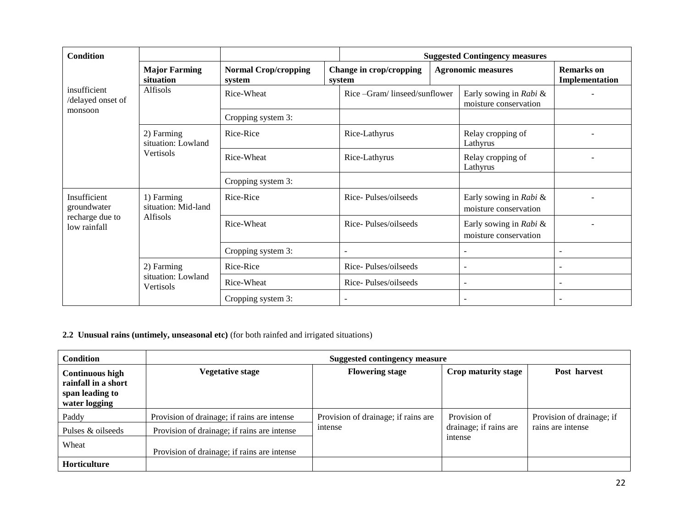| <b>Condition</b>                  |                                   |                                       | <b>Suggested Contingency measures</b> |  |                                                 |                                     |
|-----------------------------------|-----------------------------------|---------------------------------------|---------------------------------------|--|-------------------------------------------------|-------------------------------------|
|                                   | <b>Major Farming</b><br>situation | <b>Normal Crop/cropping</b><br>system | Change in crop/cropping<br>system     |  | <b>Agronomic measures</b>                       | <b>Remarks</b> on<br>Implementation |
| insufficient<br>/delayed onset of | Alfisols                          | Rice-Wheat                            | Rice -Gram/linseed/sunflower          |  | Early sowing in Rabi &<br>moisture conservation |                                     |
| monsoon                           |                                   | Cropping system 3:                    |                                       |  |                                                 |                                     |
|                                   | 2) Farming<br>situation: Lowland  | Rice-Rice                             | Rice-Lathyrus                         |  | Relay cropping of<br>Lathyrus                   |                                     |
|                                   | Vertisols                         | Rice-Wheat                            | Rice-Lathyrus                         |  | Relay cropping of<br>Lathyrus                   |                                     |
|                                   |                                   | Cropping system 3:                    |                                       |  |                                                 |                                     |
| Insufficient<br>groundwater       | 1) Farming<br>situation: Mid-land | Rice-Rice                             | Rice-Pulses/oilseeds                  |  | Early sowing in Rabi &<br>moisture conservation |                                     |
| recharge due to<br>low rainfall   | Alfisols                          | Rice-Wheat                            | Rice-Pulses/oilseeds                  |  | Early sowing in Rabi &<br>moisture conservation |                                     |
|                                   |                                   | Cropping system 3:                    |                                       |  |                                                 |                                     |
|                                   | 2) Farming                        | Rice-Rice                             | Rice-Pulses/oilseeds                  |  |                                                 | $\sim$                              |
|                                   | situation: Lowland<br>Vertisols   | Rice-Wheat                            | Rice-Pulses/oilseeds                  |  | $\blacksquare$                                  | $\sim$                              |
|                                   |                                   | Cropping system 3:                    |                                       |  |                                                 |                                     |

#### **2.2 Unusual rains (untimely, unseasonal etc)** (for both rainfed and irrigated situations)

| Condition                                                                         | <b>Suggested contingency measure</b>        |                                     |                        |                           |  |  |  |  |  |
|-----------------------------------------------------------------------------------|---------------------------------------------|-------------------------------------|------------------------|---------------------------|--|--|--|--|--|
| <b>Continuous high</b><br>rainfall in a short<br>span leading to<br>water logging | <b>Vegetative stage</b>                     | <b>Flowering stage</b>              | Crop maturity stage    | Post harvest              |  |  |  |  |  |
| Paddy                                                                             | Provision of drainage; if rains are intense | Provision of drainage; if rains are | Provision of           | Provision of drainage; if |  |  |  |  |  |
| Pulses & oilseeds                                                                 | Provision of drainage; if rains are intense | intense                             | drainage; if rains are | rains are intense         |  |  |  |  |  |
| Wheat                                                                             | Provision of drainage; if rains are intense |                                     | intense                |                           |  |  |  |  |  |
| <b>Horticulture</b>                                                               |                                             |                                     |                        |                           |  |  |  |  |  |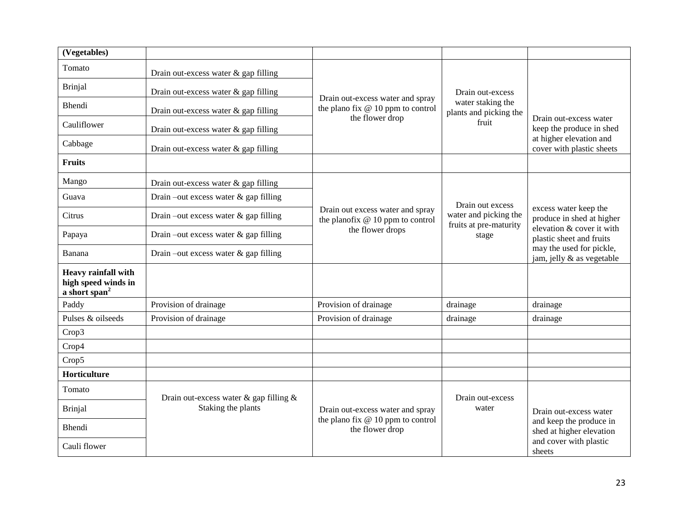| (Vegetables)                                                            |                                              |                                                                       |                                                          |                                                       |
|-------------------------------------------------------------------------|----------------------------------------------|-----------------------------------------------------------------------|----------------------------------------------------------|-------------------------------------------------------|
| Tomato                                                                  | Drain out-excess water $\&$ gap filling      |                                                                       |                                                          |                                                       |
| <b>Brinjal</b>                                                          | Drain out-excess water & gap filling         |                                                                       | Drain out-excess                                         |                                                       |
| Bhendi                                                                  | Drain out-excess water & gap filling         | Drain out-excess water and spray<br>the plano fix @ 10 ppm to control | water staking the<br>plants and picking the              |                                                       |
| Cauliflower                                                             | Drain out-excess water & gap filling         | the flower drop                                                       | fruit                                                    | Drain out-excess water<br>keep the produce in shed    |
| Cabbage                                                                 | Drain out-excess water $\&$ gap filling      |                                                                       |                                                          | at higher elevation and<br>cover with plastic sheets  |
| <b>Fruits</b>                                                           |                                              |                                                                       |                                                          |                                                       |
| Mango                                                                   | Drain out-excess water & gap filling         |                                                                       |                                                          |                                                       |
| Guava                                                                   | Drain –out excess water $\&$ gap filling     |                                                                       | Drain out excess                                         |                                                       |
| Citrus                                                                  | Drain-out excess water & gap filling         | Drain out excess water and spray<br>the planofix @ 10 ppm to control  | water and picking the<br>fruits at pre-maturity<br>stage | excess water keep the<br>produce in shed at higher    |
| Papaya                                                                  | Drain –out excess water $\&$ gap filling     | the flower drops                                                      |                                                          | elevation & cover it with<br>plastic sheet and fruits |
| Banana                                                                  | Drain –out excess water $\&$ gap filling     |                                                                       |                                                          | may the used for pickle,<br>jam, jelly & as vegetable |
| Heavy rainfall with<br>high speed winds in<br>a short span <sup>2</sup> |                                              |                                                                       |                                                          |                                                       |
| Paddy                                                                   | Provision of drainage                        | Provision of drainage                                                 | drainage                                                 | drainage                                              |
| Pulses & oilseeds                                                       | Provision of drainage                        | Provision of drainage                                                 | drainage                                                 | drainage                                              |
| Crop3                                                                   |                                              |                                                                       |                                                          |                                                       |
| Crop4                                                                   |                                              |                                                                       |                                                          |                                                       |
| Crop5                                                                   |                                              |                                                                       |                                                          |                                                       |
| Horticulture                                                            |                                              |                                                                       |                                                          |                                                       |
| Tomato                                                                  | Drain out-excess water $\&$ gap filling $\&$ |                                                                       | Drain out-excess                                         |                                                       |
| <b>Brinjal</b>                                                          | Staking the plants                           | Drain out-excess water and spray                                      | water                                                    | Drain out-excess water                                |
| Bhendi                                                                  |                                              | the plano fix $@10$ ppm to control<br>the flower drop                 |                                                          | and keep the produce in<br>shed at higher elevation   |
| Cauli flower                                                            |                                              |                                                                       |                                                          | and cover with plastic<br>sheets                      |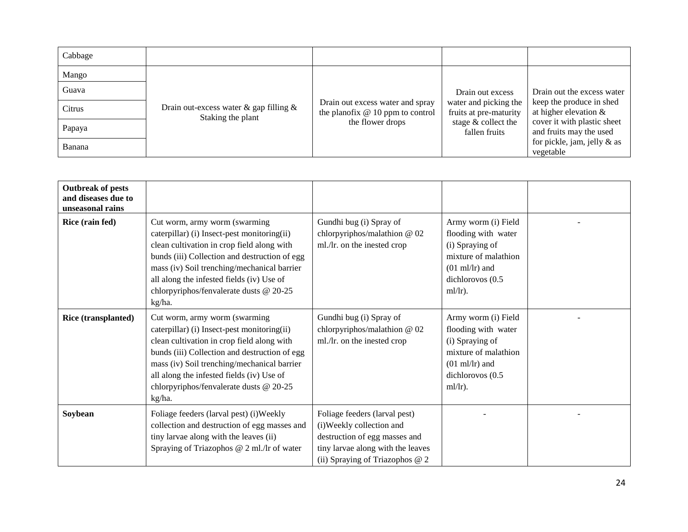| Cabbage |                                                                   |                                                                       |                                                 |                                                        |
|---------|-------------------------------------------------------------------|-----------------------------------------------------------------------|-------------------------------------------------|--------------------------------------------------------|
| Mango   |                                                                   |                                                                       |                                                 |                                                        |
| Guava   |                                                                   |                                                                       | Drain out excess                                | Drain out the excess water                             |
| Citrus  | Drain out-excess water $\&$ gap filling $\&$<br>Staking the plant | Drain out excess water and spray<br>the planofix $@10$ ppm to control | water and picking the<br>fruits at pre-maturity | keep the produce in shed<br>at higher elevation $\&$   |
| Papaya  |                                                                   | the flower drops                                                      | stage & collect the<br>fallen fruits            | cover it with plastic sheet<br>and fruits may the used |
| Banana  |                                                                   |                                                                       |                                                 | for pickle, jam, jelly $\&$ as<br>vegetable            |

| <b>Outbreak of pests</b><br>and diseases due to<br>unseasonal rains |                                                                                                                                                                                                                                                                                                                              |                                                                                                                                                                    |                                                                                                                                                     |  |
|---------------------------------------------------------------------|------------------------------------------------------------------------------------------------------------------------------------------------------------------------------------------------------------------------------------------------------------------------------------------------------------------------------|--------------------------------------------------------------------------------------------------------------------------------------------------------------------|-----------------------------------------------------------------------------------------------------------------------------------------------------|--|
| Rice (rain fed)                                                     | Cut worm, army worm (swarming<br>caterpillar) (i) Insect-pest monitoring(ii)<br>clean cultivation in crop field along with<br>bunds (iii) Collection and destruction of egg<br>mass (iv) Soil trenching/mechanical barrier<br>all along the infested fields (iv) Use of<br>chlorpyriphos/fenvalerate dusts @ 20-25<br>kg/ha. | Gundhi bug (i) Spray of<br>chlorpyriphos/malathion @ 02<br>ml./lr. on the inested crop                                                                             | Army worm (i) Field<br>flooding with water<br>(i) Spraying of<br>mixture of malathion<br>$(01 \text{ ml/lr})$ and<br>dichlorovos (0.5<br>$ml/lr$ ). |  |
| Rice (transplanted)                                                 | Cut worm, army worm (swarming<br>caterpillar) (i) Insect-pest monitoring(ii)<br>clean cultivation in crop field along with<br>bunds (iii) Collection and destruction of egg<br>mass (iv) Soil trenching/mechanical barrier<br>all along the infested fields (iv) Use of<br>chlorpyriphos/fenvalerate dusts @ 20-25<br>kg/ha. | Gundhi bug (i) Spray of<br>chlorpyriphos/malathion @ 02<br>ml./lr. on the inested crop                                                                             | Army worm (i) Field<br>flooding with water<br>(i) Spraying of<br>mixture of malathion<br>$(01 \text{ ml/lr})$ and<br>dichlorovos (0.5<br>$ml/lr$ ). |  |
| Soybean                                                             | Foliage feeders (larval pest) (i) Weekly<br>collection and destruction of egg masses and<br>tiny larvae along with the leaves (ii)<br>Spraying of Triazophos @ 2 ml./lr of water                                                                                                                                             | Foliage feeders (larval pest)<br>(i)Weekly collection and<br>destruction of egg masses and<br>tiny larvae along with the leaves<br>(ii) Spraying of Triazophos @ 2 |                                                                                                                                                     |  |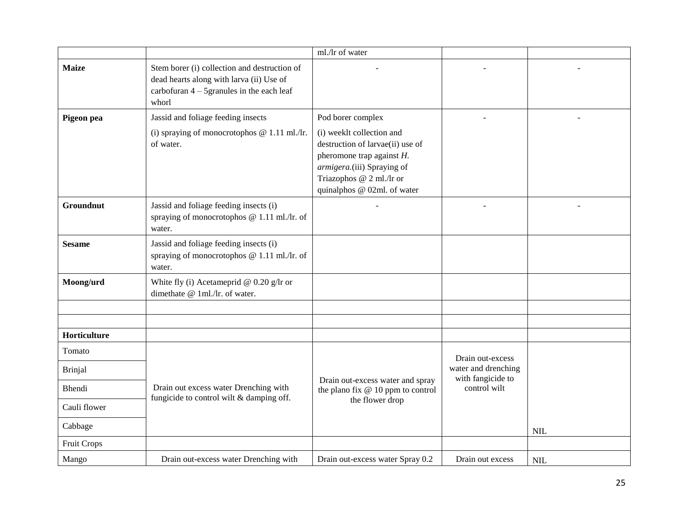|                    |                                                                                                                                                   | ml./lr of water                                                                                                                                                                        |                                          |            |
|--------------------|---------------------------------------------------------------------------------------------------------------------------------------------------|----------------------------------------------------------------------------------------------------------------------------------------------------------------------------------------|------------------------------------------|------------|
| <b>Maize</b>       | Stem borer (i) collection and destruction of<br>dead hearts along with larva (ii) Use of<br>carbofuran $4 - 5$ granules in the each leaf<br>whorl |                                                                                                                                                                                        |                                          |            |
| Pigeon pea         | Jassid and foliage feeding insects                                                                                                                | Pod borer complex                                                                                                                                                                      |                                          |            |
|                    | (i) spraying of monocrotophos $@ 1.11$ ml./lr.<br>of water.                                                                                       | (i) weeklt collection and<br>destruction of larvae(ii) use of<br>pheromone trap against $H$ .<br>armigera.(iii) Spraying of<br>Triazophos @ 2 ml./lr or<br>quinalphos @ 02ml. of water |                                          |            |
| Groundnut          | Jassid and foliage feeding insects (i)<br>spraying of monocrotophos @ 1.11 ml./lr. of<br>water.                                                   |                                                                                                                                                                                        |                                          |            |
| <b>Sesame</b>      | Jassid and foliage feeding insects (i)<br>spraying of monocrotophos @ 1.11 ml./lr. of<br>water.                                                   |                                                                                                                                                                                        |                                          |            |
| Moong/urd          | White fly (i) Acetameprid @ $0.20$ g/lr or<br>dimethate @ 1ml./lr. of water.                                                                      |                                                                                                                                                                                        |                                          |            |
|                    |                                                                                                                                                   |                                                                                                                                                                                        |                                          |            |
|                    |                                                                                                                                                   |                                                                                                                                                                                        |                                          |            |
| Horticulture       |                                                                                                                                                   |                                                                                                                                                                                        |                                          |            |
| Tomato             |                                                                                                                                                   |                                                                                                                                                                                        | Drain out-excess                         |            |
| <b>Brinjal</b>     |                                                                                                                                                   |                                                                                                                                                                                        | water and drenching<br>with fangicide to |            |
| <b>Bhendi</b>      | Drain out excess water Drenching with                                                                                                             | Drain out-excess water and spray<br>the plano fix $@10$ ppm to control                                                                                                                 | control wilt                             |            |
| Cauli flower       | fungicide to control wilt & damping off.                                                                                                          | the flower drop                                                                                                                                                                        |                                          |            |
| Cabbage            |                                                                                                                                                   |                                                                                                                                                                                        |                                          | <b>NIL</b> |
| <b>Fruit Crops</b> |                                                                                                                                                   |                                                                                                                                                                                        |                                          |            |
| Mango              | Drain out-excess water Drenching with                                                                                                             | Drain out-excess water Spray 0.2                                                                                                                                                       | Drain out excess                         | <b>NIL</b> |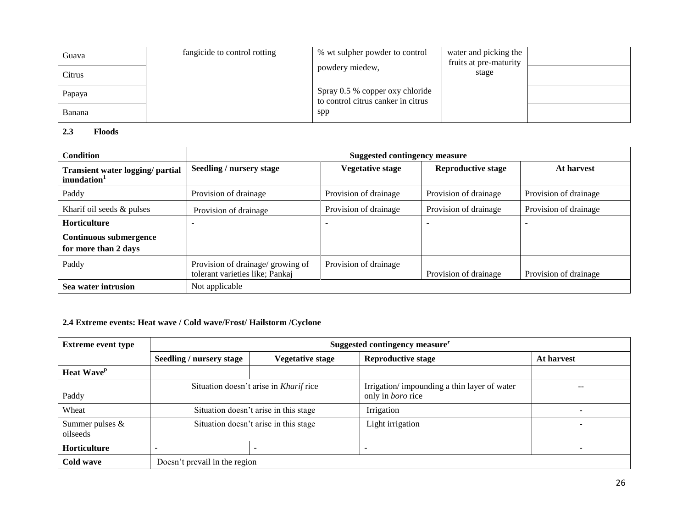| Guava  | fangicide to control rotting | % wt sulpher powder to control                                        | water and picking the           |  |
|--------|------------------------------|-----------------------------------------------------------------------|---------------------------------|--|
| Citrus |                              | powdery miedew,                                                       | fruits at pre-maturity<br>stage |  |
|        |                              |                                                                       |                                 |  |
| Papaya |                              | Spray 0.5 % copper oxy chloride<br>to control citrus canker in citrus |                                 |  |
| Banana |                              | spp                                                                   |                                 |  |

#### **2.3 Floods**

| <b>Condition</b>                                            | <b>Suggested contingency measure</b>                                 |                         |                           |                       |
|-------------------------------------------------------------|----------------------------------------------------------------------|-------------------------|---------------------------|-----------------------|
| Transient water logging/ partial<br>inundation <sup>1</sup> | Seedling / nursery stage                                             | <b>Vegetative stage</b> | <b>Reproductive stage</b> | At harvest            |
| Paddy                                                       | Provision of drainage                                                | Provision of drainage   | Provision of drainage     | Provision of drainage |
| Kharif oil seeds & pulses                                   | Provision of drainage                                                | Provision of drainage   | Provision of drainage     | Provision of drainage |
| <b>Horticulture</b>                                         |                                                                      |                         |                           | ۰                     |
| <b>Continuous submergence</b>                               |                                                                      |                         |                           |                       |
| for more than 2 days                                        |                                                                      |                         |                           |                       |
| Paddy                                                       | Provision of drainage/ growing of<br>tolerant varieties like; Pankaj | Provision of drainage   | Provision of drainage     | Provision of drainage |
| Sea water intrusion                                         | Not applicable                                                       |                         |                           |                       |

## **2.4 Extreme events: Heat wave / Cold wave/Frost/ Hailstorm /Cyclone**

| <b>Extreme event type</b>     | Suggested contingency measure <sup>r</sup> |                         |                                                                         |            |
|-------------------------------|--------------------------------------------|-------------------------|-------------------------------------------------------------------------|------------|
|                               | Seedling / nursery stage                   | <b>Vegetative stage</b> | <b>Reproductive stage</b>                                               | At harvest |
| <b>Heat Wave</b> <sup>p</sup> |                                            |                         |                                                                         |            |
| Paddy                         | Situation doesn't arise in Kharif rice     |                         | Irrigation/impounding a thin layer of water<br>only in <i>boro</i> rice | --         |
| Wheat                         | Situation doesn't arise in this stage      |                         | Irrigation                                                              |            |
| Summer pulses $&$<br>oilseeds | Situation doesn't arise in this stage      |                         | Light irrigation                                                        | -          |
| Horticulture                  |                                            |                         |                                                                         |            |
| Cold wave                     | Doesn't prevail in the region              |                         |                                                                         |            |